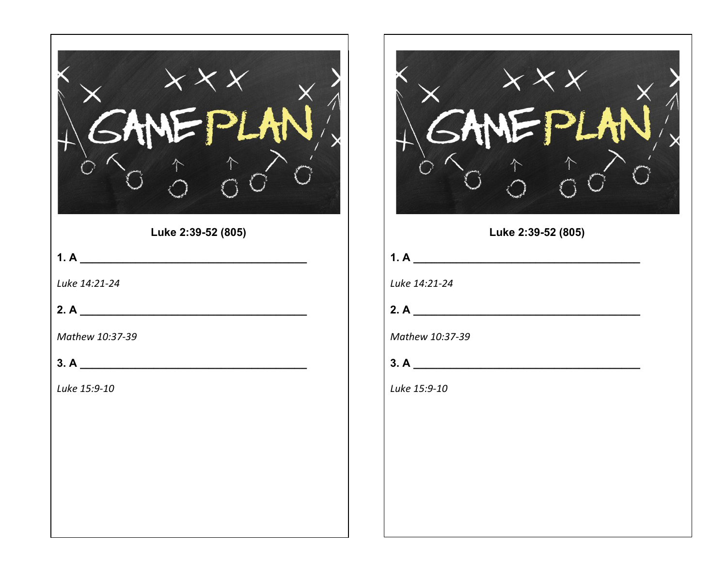| Luke 2:39-52 (805)            | Luke 2:39-52 (805)                                    |
|-------------------------------|-------------------------------------------------------|
| 1. A $\overline{\phantom{a}}$ | 1. A $\overline{\phantom{a} \phantom{a} \phantom{a}}$ |
| Luke 14:21-24                 | Luke 14:21-24                                         |
| 2. A $\overline{\phantom{a}}$ | 2. A $\overline{\phantom{a}}$                         |
| Mathew 10:37-39               | Mathew 10:37-39                                       |
|                               |                                                       |
| Luke 15:9-10                  | Luke 15:9-10                                          |
|                               |                                                       |
|                               |                                                       |
|                               |                                                       |
|                               |                                                       |
|                               |                                                       |